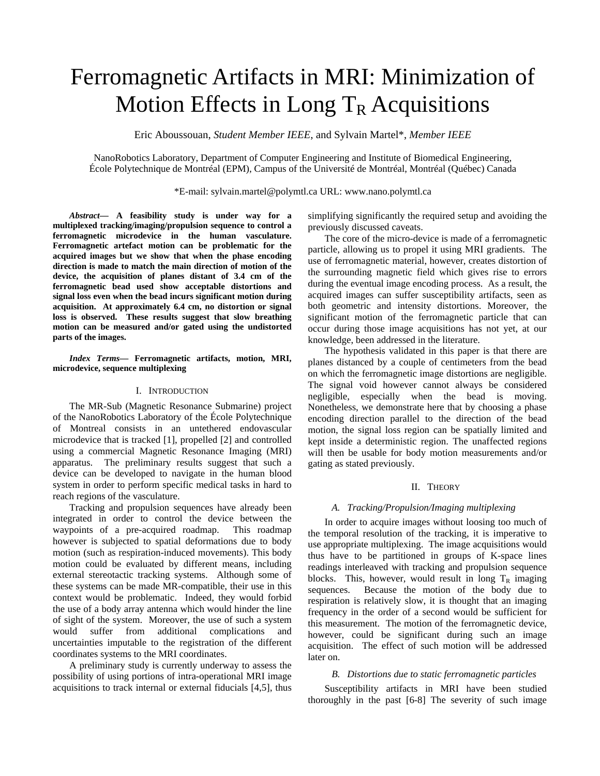# Ferromagnetic Artifacts in MRI: Minimization of Motion Effects in Long  $T_R$  Acquisitions

Eric Aboussouan, *Student Member IEEE*, and Sylvain Martel\*, *Member IEEE*

NanoRobotics Laboratory, Department of Computer Engineering and Institute of Biomedical Engineering, École Polytechnique de Montréal (EPM), Campus of the Université de Montréal, Montréal (Québec) Canada

\*E-mail: sylvain.martel@polymtl.ca URL: www.nano.polymtl.ca

*Abstract***— A feasibility study is under way for a multiplexed tracking/imaging/propulsion sequence to control a ferromagnetic microdevice in the human vasculature. Ferromagnetic artefact motion can be problematic for the acquired images but we show that when the phase encoding direction is made to match the main direction of motion of the device, the acquisition of planes distant of 3.4 cm of the ferromagnetic bead used show acceptable distortions and signal loss even when the bead incurs significant motion during acquisition. At approximately 6.4 cm, no distortion or signal loss is observed. These results suggest that slow breathing motion can be measured and/or gated using the undistorted parts of the images.** 

## *Index Terms***— Ferromagnetic artifacts, motion, MRI, microdevice, sequence multiplexing**

## I. INTRODUCTION

The MR-Sub (Magnetic Resonance Submarine) project of the NanoRobotics Laboratory of the École Polytechnique of Montreal consists in an untethered endovascular microdevice that is tracked [1], propelled [2] and controlled using a commercial Magnetic Resonance Imaging (MRI) apparatus. The preliminary results suggest that such a device can be developed to navigate in the human blood system in order to perform specific medical tasks in hard to reach regions of the vasculature.

Tracking and propulsion sequences have already been integrated in order to control the device between the waypoints of a pre-acquired roadmap. This roadmap however is subjected to spatial deformations due to body motion (such as respiration-induced movements). This body motion could be evaluated by different means, including external stereotactic tracking systems. Although some of these systems can be made MR-compatible, their use in this context would be problematic. Indeed, they would forbid the use of a body array antenna which would hinder the line of sight of the system. Moreover, the use of such a system would suffer from additional complications and uncertainties imputable to the registration of the different coordinates systems to the MRI coordinates.

A preliminary study is currently underway to assess the possibility of using portions of intra-operational MRI image acquisitions to track internal or external fiducials [4,5], thus simplifying significantly the required setup and avoiding the previously discussed caveats.

The core of the micro-device is made of a ferromagnetic particle, allowing us to propel it using MRI gradients. The use of ferromagnetic material, however, creates distortion of the surrounding magnetic field which gives rise to errors during the eventual image encoding process. As a result, the acquired images can suffer susceptibility artifacts, seen as both geometric and intensity distortions. Moreover, the significant motion of the ferromagnetic particle that can occur during those image acquisitions has not yet, at our knowledge, been addressed in the literature.

The hypothesis validated in this paper is that there are planes distanced by a couple of centimeters from the bead on which the ferromagnetic image distortions are negligible. The signal void however cannot always be considered negligible, especially when the bead is moving. Nonetheless, we demonstrate here that by choosing a phase encoding direction parallel to the direction of the bead motion, the signal loss region can be spatially limited and kept inside a deterministic region. The unaffected regions will then be usable for body motion measurements and/or gating as stated previously.

#### II. THEORY

#### *A. Tracking/Propulsion/Imaging multiplexing*

In order to acquire images without loosing too much of the temporal resolution of the tracking, it is imperative to use appropriate multiplexing. The image acquisitions would thus have to be partitioned in groups of K-space lines readings interleaved with tracking and propulsion sequence blocks. This, however, would result in long  $T_R$  imaging sequences. Because the motion of the body due to respiration is relatively slow, it is thought that an imaging frequency in the order of a second would be sufficient for this measurement. The motion of the ferromagnetic device, however, could be significant during such an image acquisition. The effect of such motion will be addressed later on.

## *B. Distortions due to static ferromagnetic particles*

Susceptibility artifacts in MRI have been studied thoroughly in the past [6-8] The severity of such image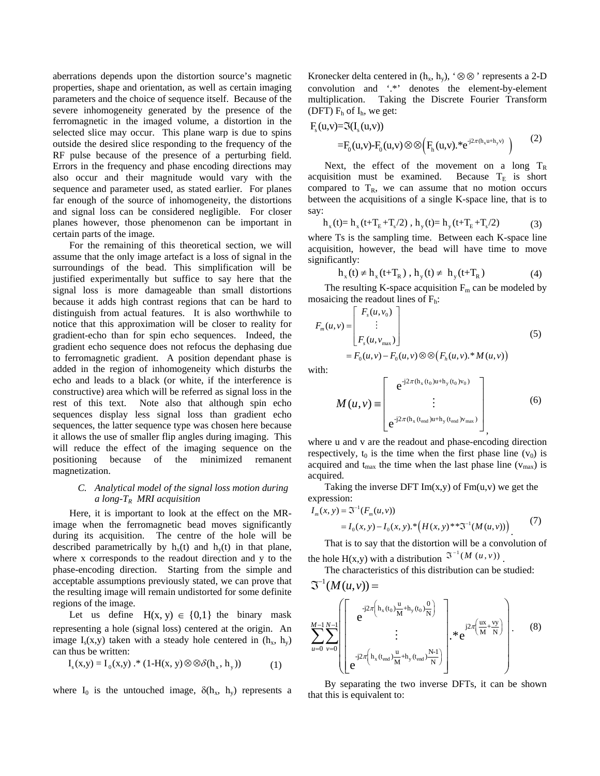aberrations depends upon the distortion source's magnetic properties, shape and orientation, as well as certain imaging parameters and the choice of sequence itself. Because of the severe inhomogeneity generated by the presence of the ferromagnetic in the imaged volume, a distortion in the selected slice may occur. This plane warp is due to spins outside the desired slice responding to the frequency of the RF pulse because of the presence of a perturbing field. Errors in the frequency and phase encoding directions may also occur and their magnitude would vary with the sequence and parameter used, as stated earlier. For planes far enough of the source of inhomogeneity, the distortions and signal loss can be considered negligible. For closer planes however, those phenomenon can be important in certain parts of the image.

For the remaining of this theoretical section, we will assume that the only image artefact is a loss of signal in the surroundings of the bead. This simplification will be justified experimentally but suffice to say here that the signal loss is more damageable than small distortions because it adds high contrast regions that can be hard to distinguish from actual features. It is also worthwhile to notice that this approximation will be closer to reality for gradient-echo than for spin echo sequences. Indeed, the gradient echo sequence does not refocus the dephasing due to ferromagnetic gradient. A position dependant phase is added in the region of inhomogeneity which disturbs the echo and leads to a black (or white, if the interference is constructive) area which will be referred as signal loss in the rest of this text. Note also that although spin echo sequences display less signal loss than gradient echo sequences, the latter sequence type was chosen here because it allows the use of smaller flip angles during imaging. This will reduce the effect of the imaging sequence on the positioning because of the minimized remanent magnetization.

## *C. Analytical model of the signal loss motion during a long-TR MRI acquisition*

Here, it is important to look at the effect on the MRimage when the ferromagnetic bead moves significantly during its acquisition. The centre of the hole will be described parametrically by  $h_x(t)$  and  $h_y(t)$  in that plane, where x corresponds to the readout direction and y to the phase-encoding direction. Starting from the simple and acceptable assumptions previously stated, we can prove that the resulting image will remain undistorted for some definite regions of the image.

Let us define  $H(x, y) \in \{0,1\}$  the binary mask representing a hole (signal loss) centered at the origin. An image  $I_s(x,y)$  taken with a steady hole centered in  $(h_x, h_y)$ can thus be written:

$$
I_{s}(x,y) = I_{0}(x,y) .^{*} (1-H(x, y) \otimes \otimes \delta(h_{x}, h_{y}))
$$
 (1)

where  $I_0$  is the untouched image,  $\delta(h_x, h_y)$  represents a

Kronecker delta centered in  $(h_x, h_y)$ , ' $\otimes \otimes$ ' represents a 2-D convolution and '.\*' denotes the element-by-element multiplication. Taking the Discrete Fourier Transform (DFT)  $F_h$  of  $I_h$ , we get:

$$
F_s(u,v) = \Im(I_s(u,v))
$$
  
= $F_0(u,v) - F_0(u,v) \otimes \mathcal{A}(F_h(u,v).*e^{-j2\pi(h_xu+h_yv)})$  (2)

Next, the effect of the movement on a long  $T_R$ acquisition must be examined. Because  $T_E$  is short compared to  $T_R$ , we can assume that no motion occurs between the acquisitions of a single K-space line, that is to say:

$$
h_x(t) = h_x(t + T_E + T_s/2), h_y(t) = h_y(t + T_E + T_s/2)
$$
 (3)

where Ts is the sampling time. Between each K-space line acquisition, however, the bead will have time to move significantly:

$$
h_x(t) \neq h_x(t+T_R), h_y(t) \neq h_y(t+T_R)
$$
 (4)

The resulting K-space acquisition  $F_m$  can be modeled by mosaicing the readout lines of  $F_h$ :

$$
F_m(u, v) = \begin{bmatrix} F_s(u, v_0) \\ \vdots \\ F_s(u, v_{\text{max}}) \end{bmatrix}
$$
  
=  $F_0(u, v) - F_0(u, v) \otimes \otimes (F_h(u, v) \cdot^* M(u, v))$  (5)

with:

$$
M(u, v) = \begin{bmatrix} e^{-j2\pi(h_x(t_0)u + h_y(t_0)v_0)} \\ \vdots \\ e^{-j2\pi(h_x(t_{end})u + h_y(t_{end})v_{max})} \end{bmatrix},
$$
 (6)

where u and v are the readout and phase-encoding direction respectively,  $t_0$  is the time when the first phase line  $(v_0)$  is acquired and  $t_{\text{max}}$  the time when the last phase line ( $v_{\text{max}}$ ) is acquired.

Taking the inverse DFT  $Im(x,y)$  of  $Fm(u,y)$  we get the expression:

$$
I_m(x, y) = \mathfrak{I}^{-1}(F_m(u, v))
$$
  
=  $I_0(x, y) - I_0(x, y) \cdot \left( H(x, y) \cdot \mathfrak{F}^{-1}(M(u, v)) \right)$  (7)

That is to say that the distortion will be a convolution of the hole H(x,y) with a distribution  $\mathfrak{I}^{-1}(M(u, v))$ .

The characteristics of this distribution can be studied:  $\mathfrak{S}^{-1}(M(u,v)) =$ 

$$
\sum_{u=0}^{M-1} \sum_{v=0}^{N-1} \left[ \begin{bmatrix} e^{-j2\pi \left( h_x(t_0) \frac{u}{M} + h_y(t_0) \frac{0}{N} \right)} \\ e^{-j2\pi \left( h_x(t_{end}) \frac{u}{M} + h_y(t_{end}) \frac{N-1}{N}} \right] \ast e^{j2\pi \left( \frac{ux}{M} + \frac{vy}{N} \right)} \right].
$$
 (8)

By separating the two inverse DFTs, it can be shown that this is equivalent to: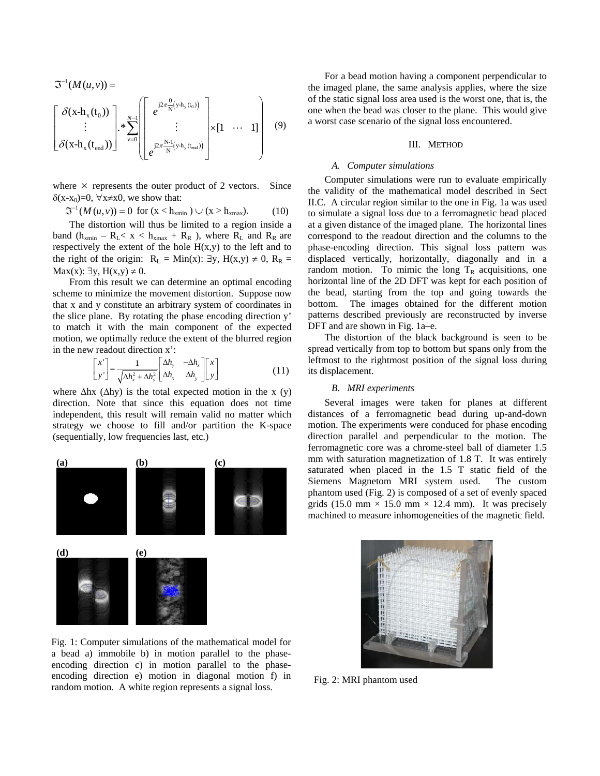$$
\mathfrak{I}^{-1}(M(u,v)) = \left[\begin{array}{c} \delta(\mathbf{x}-\mathbf{h}_{x}(\mathbf{t}_{0})) \\ \vdots \\ \delta(\mathbf{x}-\mathbf{h}_{x}(\mathbf{t}_{end})) \end{array}\right] * \sum_{v=0}^{N-1} \left[\begin{array}{c} e^{j2\pi \frac{0}{N}(\mathbf{y}+\mathbf{h}_{y}(\mathbf{t}_{0}))} \\ \vdots \\ e^{j2\pi \frac{N-1}{N}(\mathbf{y}+\mathbf{h}_{y}(\mathbf{t}_{end}))} \end{array}\right] \times [1 \cdots 1] \right] (9)
$$

where  $\times$  represents the outer product of 2 vectors. Since  $\delta(x-x_0)=0, \forall x\neq x0$ , we show that:

$$
\mathfrak{S}^{-1}(M(u,v)) = 0 \text{ for } (x < h_{\text{xmin}}) \cup (x > h_{\text{xmax}}). \tag{10}
$$

The distortion will thus be limited to a region inside a band ( $h_{xmin} - R_L < x < h_{xmax} + R_R$ ), where  $R_L$  and  $R_R$  are respectively the extent of the hole  $H(x,y)$  to the left and to the right of the origin:  $R_L = Min(x)$ : ∃y,  $H(x,y) \neq 0$ ,  $R_R =$  $Max(x): \exists y, H(x,y) \neq 0.$ 

From this result we can determine an optimal encoding scheme to minimize the movement distortion. Suppose now that x and y constitute an arbitrary system of coordinates in the slice plane. By rotating the phase encoding direction y' to match it with the main component of the expected motion, we optimally reduce the extent of the blurred region in the new readout direction x':

$$
\begin{bmatrix} x' \\ y' \end{bmatrix} = \frac{1}{\sqrt{\Delta h_x^2 + \Delta h_y^2}} \begin{bmatrix} \Delta h_y & -\Delta h_x \\ \Delta h_x & \Delta h_y \end{bmatrix} \begin{bmatrix} x \\ y \end{bmatrix}
$$
 (11)

where  $\Delta$ hx ( $\Delta$ hy) is the total expected motion in the x (y) direction. Note that since this equation does not time independent, this result will remain valid no matter which strategy we choose to fill and/or partition the K-space (sequentially, low frequencies last, etc.)



Fig. 1: Computer simulations of the mathematical model for a bead a) immobile b) in motion parallel to the phaseencoding direction c) in motion parallel to the phaseencoding direction e) motion in diagonal motion f) in encounting direction e) motion in diagonal motion 1) in Fig. 2: MRI phantom used random motion. A white region represents a signal loss.

For a bead motion having a component perpendicular to the imaged plane, the same analysis applies, where the size of the static signal loss area used is the worst one, that is, the one when the bead was closer to the plane. This would give a worst case scenario of the signal loss encountered.

### III. METHOD

## *A. Computer simulations*

Computer simulations were run to evaluate empirically the validity of the mathematical model described in Sect II.C. A circular region similar to the one in Fig. 1a was used to simulate a signal loss due to a ferromagnetic bead placed at a given distance of the imaged plane. The horizontal lines correspond to the readout direction and the columns to the phase-encoding direction. This signal loss pattern was displaced vertically, horizontally, diagonally and in a random motion. To mimic the long  $T_R$  acquisitions, one horizontal line of the 2D DFT was kept for each position of the bead, starting from the top and going towards the bottom. The images obtained for the different motion patterns described previously are reconstructed by inverse DFT and are shown in Fig. 1a–e.

The distortion of the black background is seen to be spread vertically from top to bottom but spans only from the leftmost to the rightmost position of the signal loss during its displacement.

## *B. MRI experiments*

Several images were taken for planes at different distances of a ferromagnetic bead during up-and-down motion. The experiments were conduced for phase encoding direction parallel and perpendicular to the motion. The ferromagnetic core was a chrome-steel ball of diameter 1.5 mm with saturation magnetization of 1.8 T. It was entirely saturated when placed in the 1.5 T static field of the Siemens Magnetom MRI system used. The custom phantom used (Fig. 2) is composed of a set of evenly spaced grids (15.0 mm  $\times$  15.0 mm  $\times$  12.4 mm). It was precisely machined to measure inhomogeneities of the magnetic field.